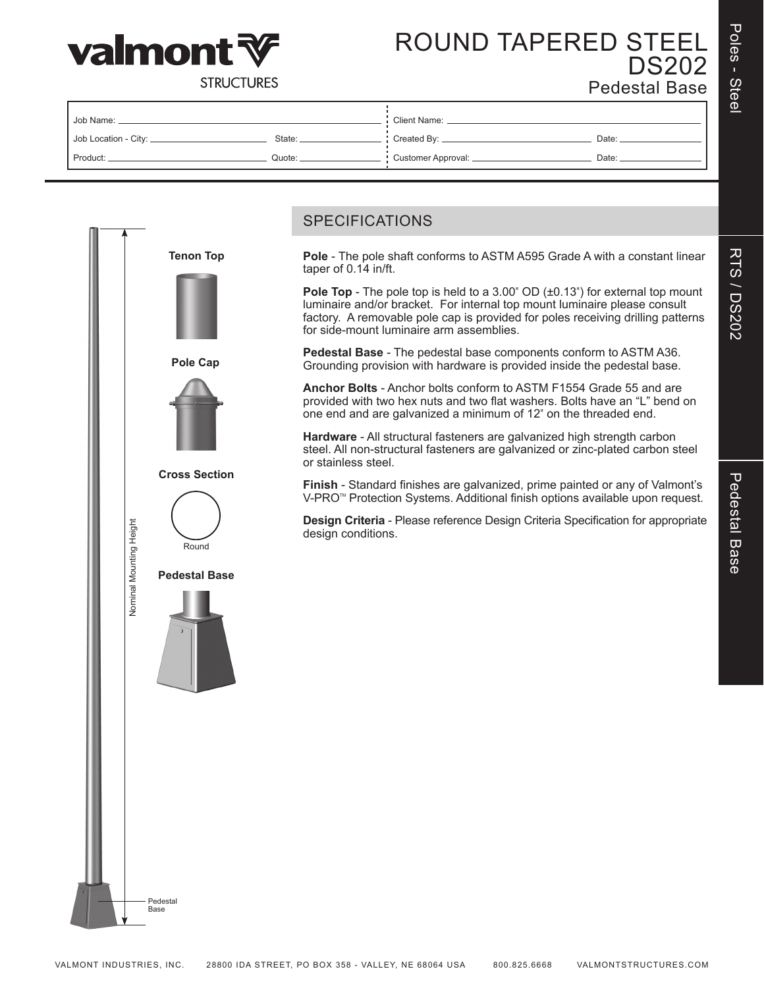

# **RTS / DS202** RTS / DS202



## ROUND TAPERED STEEL DS202 Pedestal Base

**STRUCTURES** 

| Job Name:               |          | Client Name:           |       |  |  |
|-------------------------|----------|------------------------|-------|--|--|
| Job Location - City: __ | State: _ | Created By: _          | Date: |  |  |
| Product:                | Quote:   | : Customer Approval: _ | Date: |  |  |

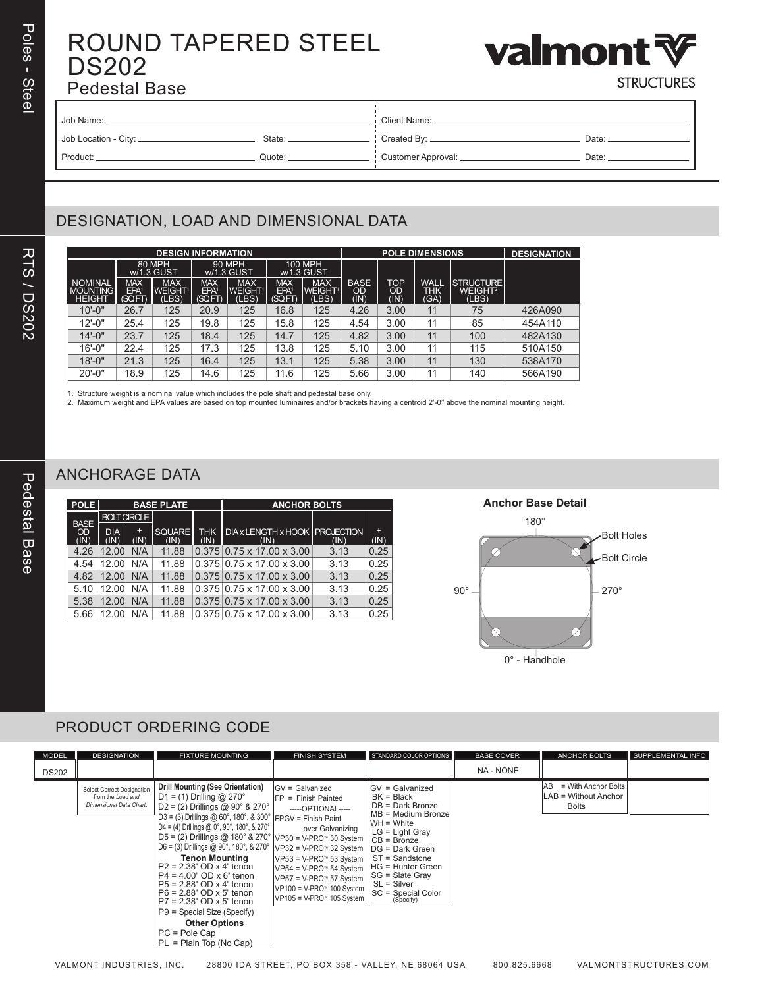RTS / DS202

**RTS / DS202** 

## ROUND TAPERED STEEL DS202 Pedestal Base



**STRUCTURES** 

| Job Name:              |        | Client Name:         |       |  |  |
|------------------------|--------|----------------------|-------|--|--|
| Job Location - City: _ | State: | Created By: _        | Date: |  |  |
| Product:               | Quote: | Customer Approval: _ | Date: |  |  |

### DESIGNATION, LOAD AND DIMENSIONAL DATA

| <b>DESIGN INFORMATION</b>                          |                                          |                                                  |                                          |                                            |                                          |                                       | <b>POLE DIMENSIONS</b>           |                                 |                                   |                                                  | <b>DESIGNATION</b> |
|----------------------------------------------------|------------------------------------------|--------------------------------------------------|------------------------------------------|--------------------------------------------|------------------------------------------|---------------------------------------|----------------------------------|---------------------------------|-----------------------------------|--------------------------------------------------|--------------------|
|                                                    |                                          | 80 MPH<br>w/1.3 GUST                             |                                          | 90 MPH<br>w/1.3 GUST                       | <b>100 MPH</b><br>w/1.3 GUST             |                                       |                                  |                                 |                                   |                                                  |                    |
| <b>NOMINAL</b><br><b>MOUNTING</b><br><b>HEIGHT</b> | <b>MAX</b><br>EPA <sup>1</sup><br>(SQFT) | <b>MAX</b><br><b>WEIGHT<sup>1</sup></b><br>(LBS) | <b>MAX</b><br>EPA <sup>1</sup><br>(SQFT) | <b>MAX</b><br>WEIGHT <sup>1</sup><br>(LES) | <b>MAX</b><br>EPA <sup>1</sup><br>(SQFT) | <b>MAX</b><br><b>WEIGHT1</b><br>(LBS) | <b>BASE</b><br><b>OD</b><br>(IN) | <b>TOP</b><br><b>OD</b><br>(IN) | <b>WALL</b><br><b>THK</b><br>(GA) | <b>STRUCTURE</b><br>WEIGHT <sup>2</sup><br>(LES) |                    |
| $10 - 0"$                                          | 26.7                                     | 125                                              | 20.9                                     | 125                                        | 16.8                                     | 125                                   | 4.26                             | 3.00                            | 11                                | 75                                               | 426A090            |
| $12 - 0"$                                          | 25.4                                     | 125                                              | 19.8                                     | 125                                        | 15.8                                     | 125                                   | 4.54                             | 3.00                            | 11                                | 85                                               | 454A110            |
| $14 - 0"$                                          | 23.7                                     | 125                                              | 18.4                                     | 125                                        | 14.7                                     | 125                                   | 4.82                             | 3.00                            | 11                                | 100                                              | 482A130            |
| $16' - 0''$                                        | 22.4                                     | 125                                              | 17.3                                     | 125                                        | 13.8                                     | 125                                   | 5.10                             | 3.00                            | 11                                | 115                                              | 510A150            |
| $18 - 0$ "                                         | 21.3                                     | 125                                              | 16.4                                     | 125                                        | 13.1                                     | 125                                   | 5.38                             | 3.00                            | 11                                | 130                                              | 538A170            |
| $20' - 0"$                                         | 18.9                                     | 125                                              | 14.6                                     | 125                                        | 11.6                                     | 125                                   | 5.66                             | 3.00                            | 11                                | 140                                              | 566A190            |

1. Structure weight is a nominal value which includes the pole shaft and pedestal base only.

2. Maximum weight and EPA values are based on top mounted luminaires and/or brackets having a centroid 2'-0'' above the nominal mounting height.

### ANCHORAGE DATA

| <b>POLE</b> |                    |            | <b>BASE PLATE</b> |               | <b>ANCHOR BOLTS</b>                        |      |           |  |
|-------------|--------------------|------------|-------------------|---------------|--------------------------------------------|------|-----------|--|
| <b>BASE</b> | <b>BOLT CIRCLE</b> |            |                   |               |                                            |      |           |  |
| OD<br>(IN)  | <b>DIA</b><br>(IN' | E.<br>(IN) | SQUARE<br>(IN)    | THK I<br>(IN) | DIA x LENGTH x HOOK   PROJECTION  <br>(IN) | (IN) | 固<br>(IN) |  |
| 4.26        | 12.00              | N/A        | 11.88             |               | $0.375$   0.75 x 17.00 x 3.00              | 3.13 | 0.25      |  |
| 4.54        | 12.00              | N/A        | 11.88             |               | $0.375$   0.75 x 17.00 x 3.00              | 3.13 | 0.25      |  |
| 4.82        | 12 OO              | N/A        | 11.88             |               | $0.375$ 0.75 x 17.00 x 3.00                | 3.13 | 0.25      |  |
| 5.10        | 12 OO              | N/A        | 11.88             |               | $0.375$   0.75 x 17.00 x 3.00              | 3.13 | 0.25      |  |
| 5.38        | 12 OO              | N/A        | 11.88             |               | $0.375$ 0.75 x 17.00 x 3.00                | 3.13 | 0.25      |  |
| 5.66        | 12.00              | N/A        | 11.88             |               | $0.375$   0.75 x 17.00 x 3.00              | 3.13 | 0.25      |  |



#### PRODUCT ORDERING CODE

| <b>MODEL</b> | <b>DESIGNATION</b>                                                         | <b>FIXTURE MOUNTING</b>                                                                                                                                                                                                                                                                                                                                                                                                                                                                                                                                                                                                                                                                                              | <b>FINISH SYSTEM</b>                                                                                                                                                                                                                                                                                                                                                                                                                                                                                                                                                                                                                                                                                                                        | STANDARD COLOR OPTIONS                                                                                                                                                                     | <b>BASE COVER</b> | <b>ANCHOR BOLTS</b>                                                          | SUPPLEMENTAL INFO |
|--------------|----------------------------------------------------------------------------|----------------------------------------------------------------------------------------------------------------------------------------------------------------------------------------------------------------------------------------------------------------------------------------------------------------------------------------------------------------------------------------------------------------------------------------------------------------------------------------------------------------------------------------------------------------------------------------------------------------------------------------------------------------------------------------------------------------------|---------------------------------------------------------------------------------------------------------------------------------------------------------------------------------------------------------------------------------------------------------------------------------------------------------------------------------------------------------------------------------------------------------------------------------------------------------------------------------------------------------------------------------------------------------------------------------------------------------------------------------------------------------------------------------------------------------------------------------------------|--------------------------------------------------------------------------------------------------------------------------------------------------------------------------------------------|-------------------|------------------------------------------------------------------------------|-------------------|
| <b>DS202</b> |                                                                            |                                                                                                                                                                                                                                                                                                                                                                                                                                                                                                                                                                                                                                                                                                                      |                                                                                                                                                                                                                                                                                                                                                                                                                                                                                                                                                                                                                                                                                                                                             |                                                                                                                                                                                            | NA - NONE         |                                                                              |                   |
|              | Select Correct Designation<br>from the Load and<br>Dimensional Data Chart. | Drill Mounting (See Orientation)<br>$\vert$ D1 = (1) Drilling @ 270°<br>$ D2 = (2)$ Drillings @ 90° & 270°<br>$ D3 = (3)$ Drillings @ 60°, 180°, & 300°   FPGV = Finish Paint<br>$ D4 = (4)$ Drillings @ 0°, 90°, 180°, & 270°<br>$ D5 = (2)$ Drillings @ 180° & 270°  VP30 = V-PRO™ 30 System    CB = Bronze<br>$ D6 = (3)$ Drillings @ 90°, 180°, & 270°     ∨P32 = ∨-PRO™ 32 System     DG = Dark Green<br><b>Tenon Mounting</b><br>$ P2 = 2.38$ " OD x 4" tenon<br>$ P4 = 4.00^{\circ}$ OD x 6" tenon<br>$IP5 = 2.88$ " OD x 4" tenon<br>$ P6 = 2.88$ " OD x 5" tenon<br>$IP7 = 2.38$ " OD x 5" tenon<br>$ P9 =$ Special Size (Specify)<br><b>Other Options</b><br>$PC = Pole Cap$<br>$ PL =$ Plain Top (No Cap) | IIGV = Galvanized<br>$I$ Finish Painted<br>-----OPTIONAL-----<br>over Galvanizing<br>$\vert \vert \text{VP53} \vert = \text{V-PRO}$ 53 System $\vert \vert$ ST = Sandstone<br>$I_VP54 = V-PRO^* 54$ System<br>$ VP57 = V-PRO∞ 57 System$<br>$\left \sqrt{\text{PP100}} = \text{V-PRO}^{\text{th}}\right 100 \text{ System}\right \left \begin{array}{cc} 0 & \text{if } 0 & \text{if } 0 & \text{if } 0 & \text{if } 0 & \text{if } 0 & \text{if } 0 & \text{if } 0 & \text{if } 0 & \text{if } 0 & \text{if } 0 & \text{if } 0 & \text{if } 0 & \text{if } 0 & \text{if } 0 & \text{if } 0 & \text{if } 0 & \text{if } 0 & \text{if } 0 & \text{if } 0 & \text{if } 0 & \text{if } 0 & \text$<br>$ V$ P105 = V-PRO <sup>™</sup> 105 System | <b>IGV = Galvanized</b><br>$BK = Black$<br>DB = Dark Bronze<br>MB = Medium Bronze<br>WH = White<br>LG = Light Gray<br>HG = Hunter Green<br>$ SG = Slater$ Gray<br>SL = Silver<br>(Specify) |                   | $=$ With Anchor Bolts<br>IAB<br><b>ILAB = Without Anchor</b><br><b>Bolts</b> |                   |